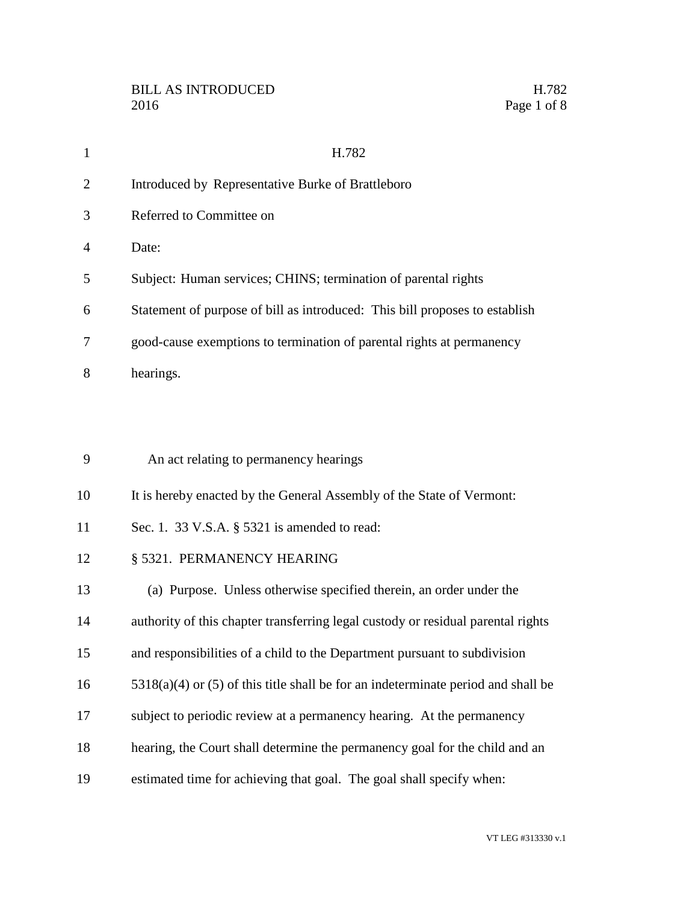| $\mathbf{1}$   | H.782                                                                               |
|----------------|-------------------------------------------------------------------------------------|
| $\overline{2}$ | Introduced by Representative Burke of Brattleboro                                   |
| 3              | Referred to Committee on                                                            |
| 4              | Date:                                                                               |
| 5              | Subject: Human services; CHINS; termination of parental rights                      |
| 6              | Statement of purpose of bill as introduced: This bill proposes to establish         |
| 7              | good-cause exemptions to termination of parental rights at permanency               |
| 8              | hearings.                                                                           |
|                |                                                                                     |
|                |                                                                                     |
| 9              | An act relating to permanency hearings                                              |
| 10             | It is hereby enacted by the General Assembly of the State of Vermont:               |
| 11             | Sec. 1. 33 V.S.A. § 5321 is amended to read:                                        |
| 12             | § 5321. PERMANENCY HEARING                                                          |
| 13             | (a) Purpose. Unless otherwise specified therein, an order under the                 |
| 14             | authority of this chapter transferring legal custody or residual parental rights    |
| 15             | and responsibilities of a child to the Department pursuant to subdivision           |
| 16             | $5318(a)(4)$ or (5) of this title shall be for an indeterminate period and shall be |
| 17             | subject to periodic review at a permanency hearing. At the permanency               |
| 18             | hearing, the Court shall determine the permanency goal for the child and an         |
| 19             | estimated time for achieving that goal. The goal shall specify when:                |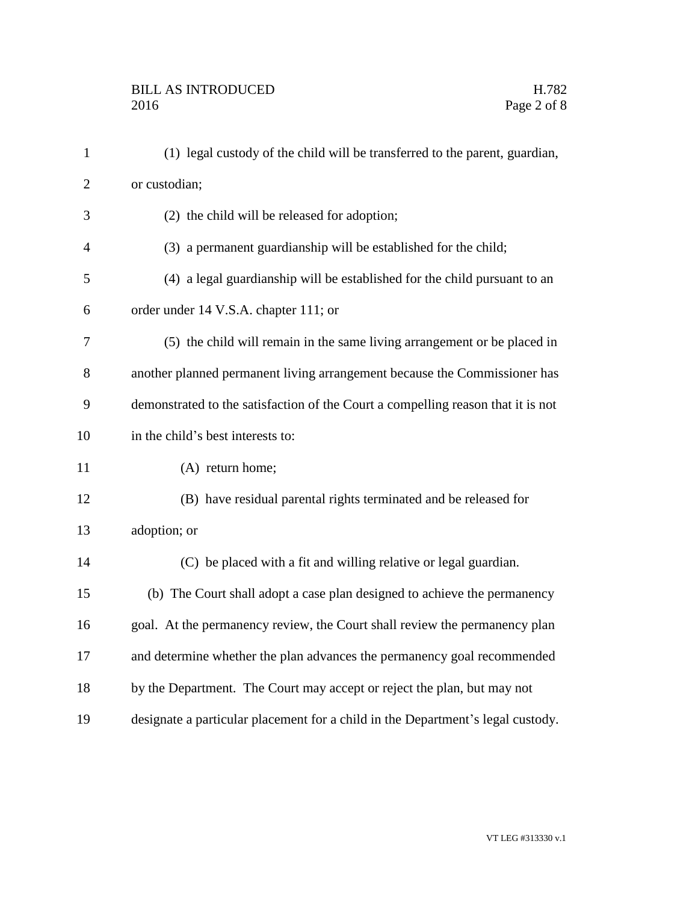| $\mathbf{1}$   | (1) legal custody of the child will be transferred to the parent, guardian,      |
|----------------|----------------------------------------------------------------------------------|
| $\overline{2}$ | or custodian;                                                                    |
| 3              | (2) the child will be released for adoption;                                     |
| $\overline{4}$ | (3) a permanent guardianship will be established for the child;                  |
| 5              | (4) a legal guardianship will be established for the child pursuant to an        |
| 6              | order under 14 V.S.A. chapter 111; or                                            |
| 7              | (5) the child will remain in the same living arrangement or be placed in         |
| 8              | another planned permanent living arrangement because the Commissioner has        |
| 9              | demonstrated to the satisfaction of the Court a compelling reason that it is not |
| 10             | in the child's best interests to:                                                |
| 11             | (A) return home;                                                                 |
| 12             | (B) have residual parental rights terminated and be released for                 |
| 13             | adoption; or                                                                     |
| 14             | (C) be placed with a fit and willing relative or legal guardian.                 |
| 15             | (b) The Court shall adopt a case plan designed to achieve the permanency         |
| 16             | goal. At the permanency review, the Court shall review the permanency plan       |
| 17             | and determine whether the plan advances the permanency goal recommended          |
| 18             | by the Department. The Court may accept or reject the plan, but may not          |
| 19             | designate a particular placement for a child in the Department's legal custody.  |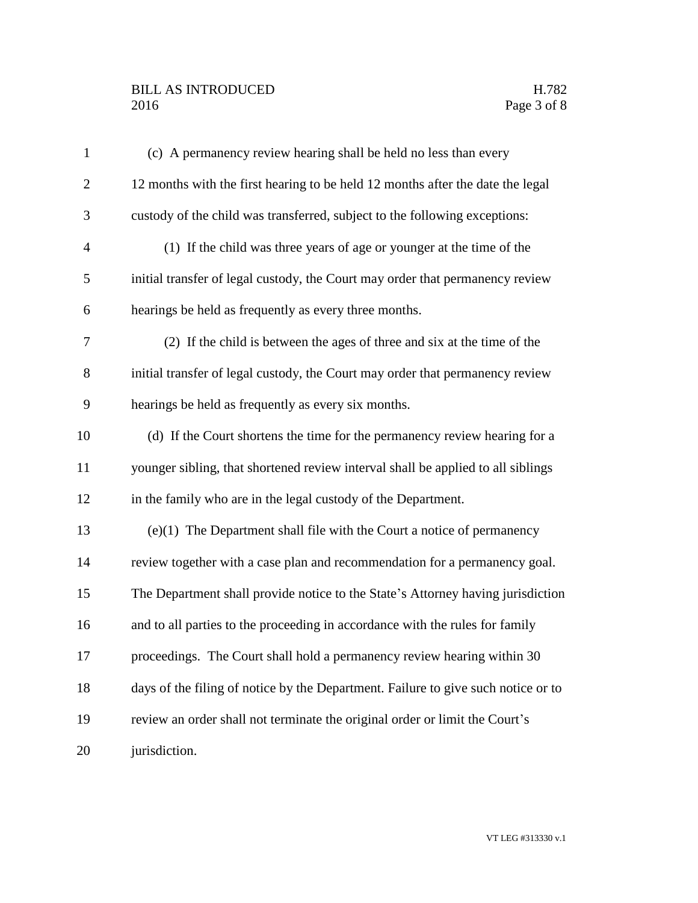# BILL AS INTRODUCED H.782<br>2016 Page 3 of 8

| $\mathbf{1}$   | (c) A permanency review hearing shall be held no less than every                  |
|----------------|-----------------------------------------------------------------------------------|
| $\overline{2}$ | 12 months with the first hearing to be held 12 months after the date the legal    |
| 3              | custody of the child was transferred, subject to the following exceptions:        |
| $\overline{4}$ | (1) If the child was three years of age or younger at the time of the             |
| 5              | initial transfer of legal custody, the Court may order that permanency review     |
| 6              | hearings be held as frequently as every three months.                             |
| 7              | (2) If the child is between the ages of three and six at the time of the          |
| $8\,$          | initial transfer of legal custody, the Court may order that permanency review     |
| 9              | hearings be held as frequently as every six months.                               |
| 10             | (d) If the Court shortens the time for the permanency review hearing for a        |
| 11             | younger sibling, that shortened review interval shall be applied to all siblings  |
| 12             | in the family who are in the legal custody of the Department.                     |
| 13             | (e)(1) The Department shall file with the Court a notice of permanency            |
| 14             | review together with a case plan and recommendation for a permanency goal.        |
| 15             | The Department shall provide notice to the State's Attorney having jurisdiction   |
| 16             | and to all parties to the proceeding in accordance with the rules for family      |
| 17             | proceedings. The Court shall hold a permanency review hearing within 30           |
| 18             | days of the filing of notice by the Department. Failure to give such notice or to |
| 19             | review an order shall not terminate the original order or limit the Court's       |
| 20             | jurisdiction.                                                                     |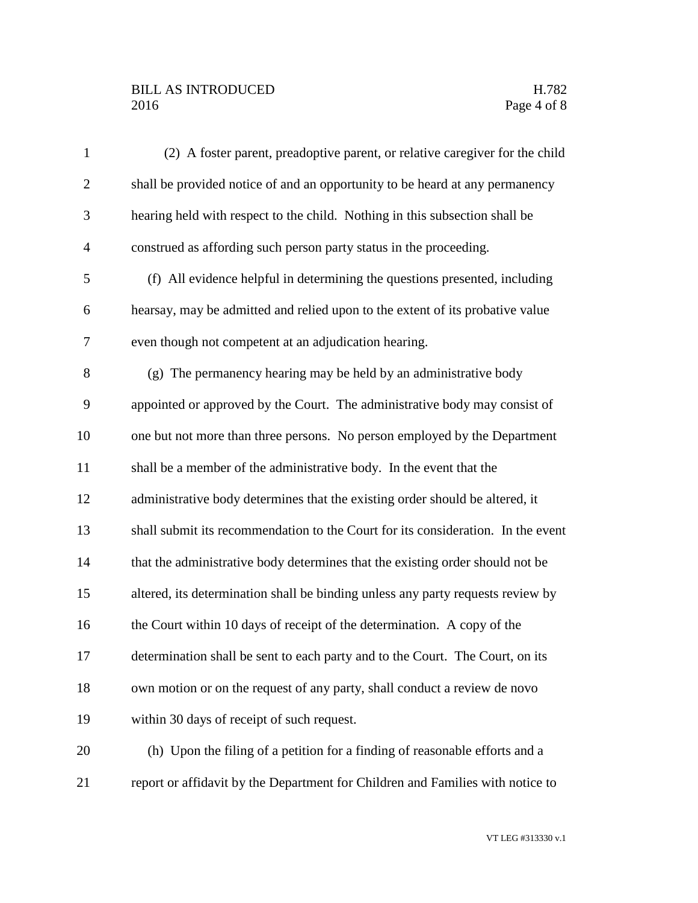# BILL AS INTRODUCED H.782<br>2016 Page 4 of 8

| $\mathbf{1}$   | (2) A foster parent, preadoptive parent, or relative caregiver for the child     |
|----------------|----------------------------------------------------------------------------------|
| $\overline{2}$ | shall be provided notice of and an opportunity to be heard at any permanency     |
| 3              | hearing held with respect to the child. Nothing in this subsection shall be      |
| $\overline{4}$ | construed as affording such person party status in the proceeding.               |
| 5              | (f) All evidence helpful in determining the questions presented, including       |
| 6              | hearsay, may be admitted and relied upon to the extent of its probative value    |
| 7              | even though not competent at an adjudication hearing.                            |
| 8              | (g) The permanency hearing may be held by an administrative body                 |
| 9              | appointed or approved by the Court. The administrative body may consist of       |
| 10             | one but not more than three persons. No person employed by the Department        |
| 11             | shall be a member of the administrative body. In the event that the              |
| 12             | administrative body determines that the existing order should be altered, it     |
| 13             | shall submit its recommendation to the Court for its consideration. In the event |
| 14             | that the administrative body determines that the existing order should not be    |
| 15             | altered, its determination shall be binding unless any party requests review by  |
| 16             | the Court within 10 days of receipt of the determination. A copy of the          |
| 17             | determination shall be sent to each party and to the Court. The Court, on its    |
| 18             | own motion or on the request of any party, shall conduct a review de novo        |
| 19             | within 30 days of receipt of such request.                                       |
| 20             | (h) Upon the filing of a petition for a finding of reasonable efforts and a      |
| 21             | report or affidavit by the Department for Children and Families with notice to   |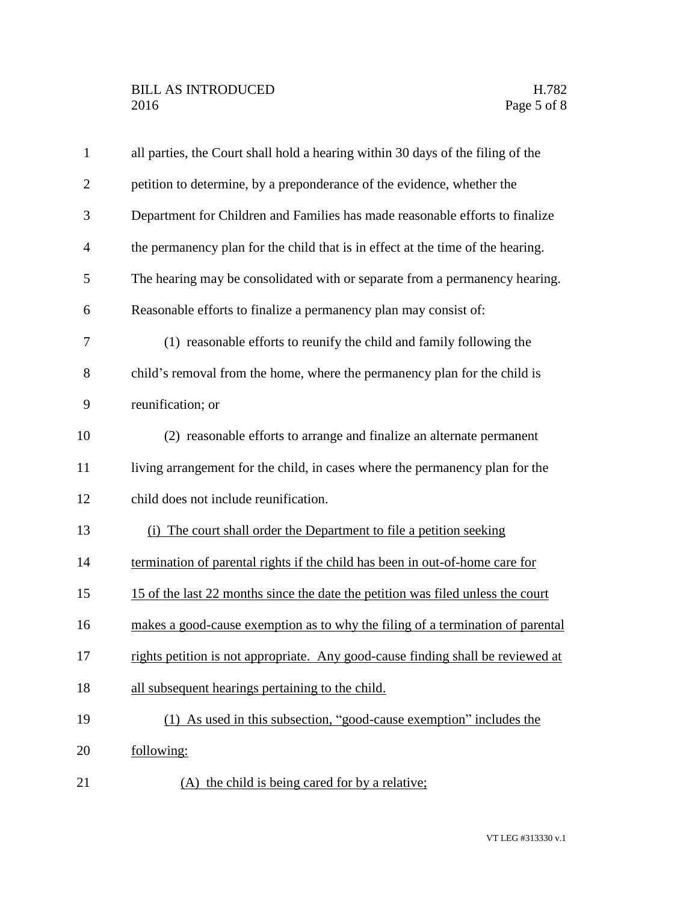| $\mathbf{1}$   | all parties, the Court shall hold a hearing within 30 days of the filing of the |
|----------------|---------------------------------------------------------------------------------|
| $\overline{2}$ | petition to determine, by a preponderance of the evidence, whether the          |
| 3              | Department for Children and Families has made reasonable efforts to finalize    |
| $\overline{4}$ | the permanency plan for the child that is in effect at the time of the hearing. |
| 5              | The hearing may be consolidated with or separate from a permanency hearing.     |
| 6              | Reasonable efforts to finalize a permanency plan may consist of:                |
| 7              | (1) reasonable efforts to reunify the child and family following the            |
| 8              | child's removal from the home, where the permanency plan for the child is       |
| 9              | reunification; or                                                               |
| 10             | (2) reasonable efforts to arrange and finalize an alternate permanent           |
| 11             | living arrangement for the child, in cases where the permanency plan for the    |
| 12             | child does not include reunification.                                           |
| 13             | (i) The court shall order the Department to file a petition seeking             |
| 14             | termination of parental rights if the child has been in out-of-home care for    |
| 15             | 15 of the last 22 months since the date the petition was filed unless the court |
| 16             | makes a good-cause exemption as to why the filing of a termination of parental  |
| 17             | rights petition is not appropriate. Any good-cause finding shall be reviewed at |
| 18             | all subsequent hearings pertaining to the child.                                |
| 19             | (1) As used in this subsection, "good-cause exemption" includes the             |
| 20             | following:                                                                      |
| 21             | (A) the child is being cared for by a relative;                                 |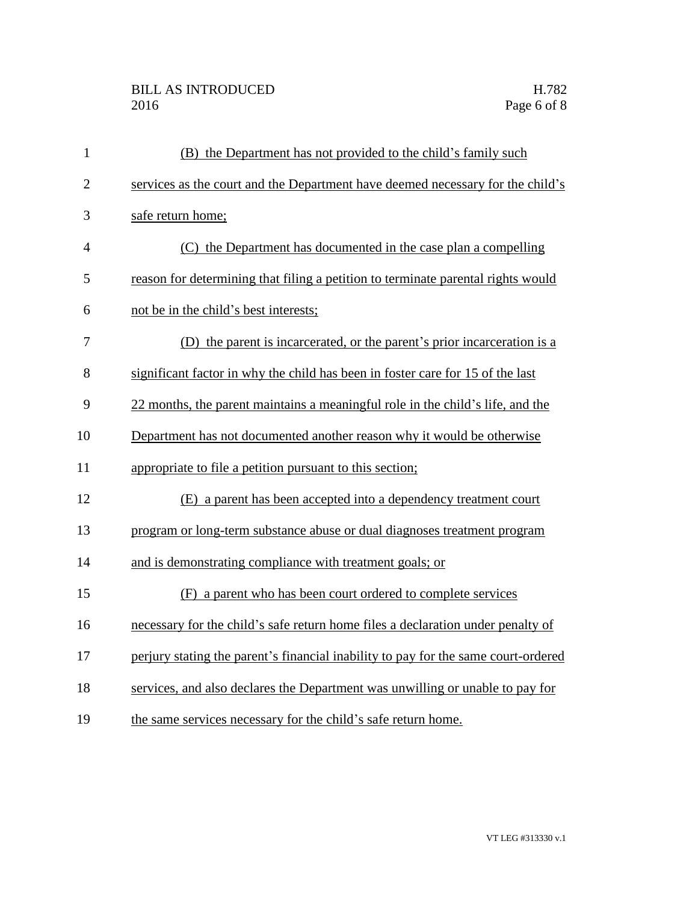# BILL AS INTRODUCED H.782<br>2016 Page 6 of 8

| $\mathbf{1}$   | (B) the Department has not provided to the child's family such                     |
|----------------|------------------------------------------------------------------------------------|
| $\overline{2}$ | services as the court and the Department have deemed necessary for the child's     |
| 3              | safe return home;                                                                  |
| $\overline{4}$ | (C) the Department has documented in the case plan a compelling                    |
| 5              | reason for determining that filing a petition to terminate parental rights would   |
| 6              | not be in the child's best interests;                                              |
| 7              | (D) the parent is incarcerated, or the parent's prior incarceration is a           |
| 8              | significant factor in why the child has been in foster care for 15 of the last     |
| 9              | 22 months, the parent maintains a meaningful role in the child's life, and the     |
| 10             | Department has not documented another reason why it would be otherwise             |
| 11             | appropriate to file a petition pursuant to this section;                           |
| 12             | (E) a parent has been accepted into a dependency treatment court                   |
| 13             | program or long-term substance abuse or dual diagnoses treatment program           |
| 14             | and is demonstrating compliance with treatment goals; or                           |
| 15             | (F) a parent who has been court ordered to complete services                       |
| 16             | necessary for the child's safe return home files a declaration under penalty of    |
| 17             | perjury stating the parent's financial inability to pay for the same court-ordered |
| 18             | services, and also declares the Department was unwilling or unable to pay for      |
| 19             | the same services necessary for the child's safe return home.                      |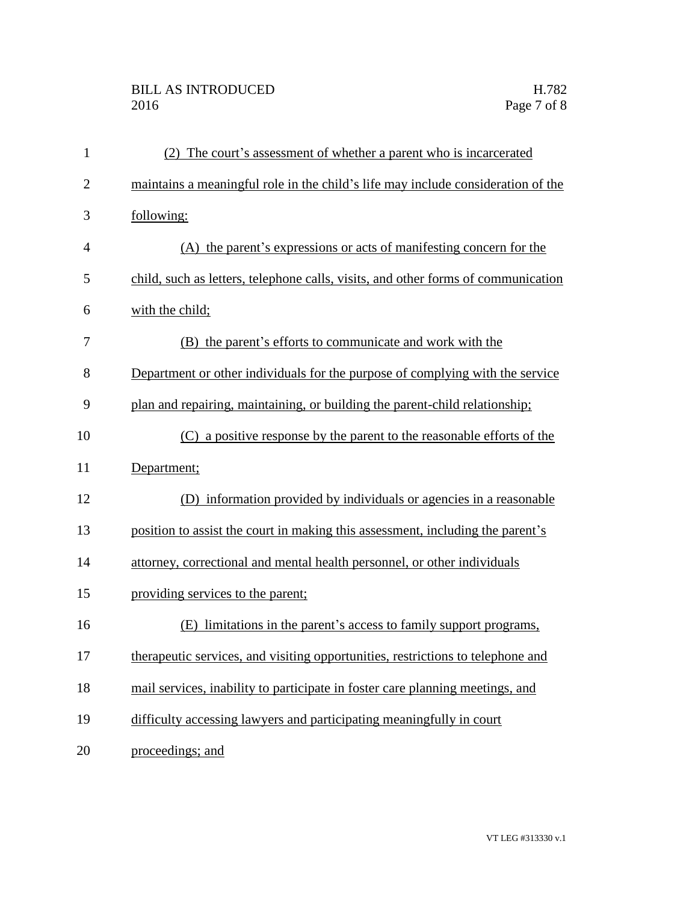# BILL AS INTRODUCED H.782<br>2016 Page 7 of 8

| $\mathbf{1}$   | (2) The court's assessment of whether a parent who is incarcerated                |
|----------------|-----------------------------------------------------------------------------------|
| $\overline{2}$ | maintains a meaningful role in the child's life may include consideration of the  |
| 3              | following:                                                                        |
| 4              | (A) the parent's expressions or acts of manifesting concern for the               |
| 5              | child, such as letters, telephone calls, visits, and other forms of communication |
| 6              | with the child;                                                                   |
| 7              | (B) the parent's efforts to communicate and work with the                         |
| 8              | Department or other individuals for the purpose of complying with the service     |
| 9              | plan and repairing, maintaining, or building the parent-child relationship;       |
| 10             | (C) a positive response by the parent to the reasonable efforts of the            |
| 11             | Department;                                                                       |
| 12             | (D) information provided by individuals or agencies in a reasonable               |
| 13             | position to assist the court in making this assessment, including the parent's    |
| 14             | attorney, correctional and mental health personnel, or other individuals          |
| 15             | providing services to the parent;                                                 |
| 16             | limitations in the parent's access to family support programs,<br>(E)             |
| 17             | therapeutic services, and visiting opportunities, restrictions to telephone and   |
| 18             | mail services, inability to participate in foster care planning meetings, and     |
| 19             | difficulty accessing lawyers and participating meaningfully in court              |
| 20             | proceedings; and                                                                  |